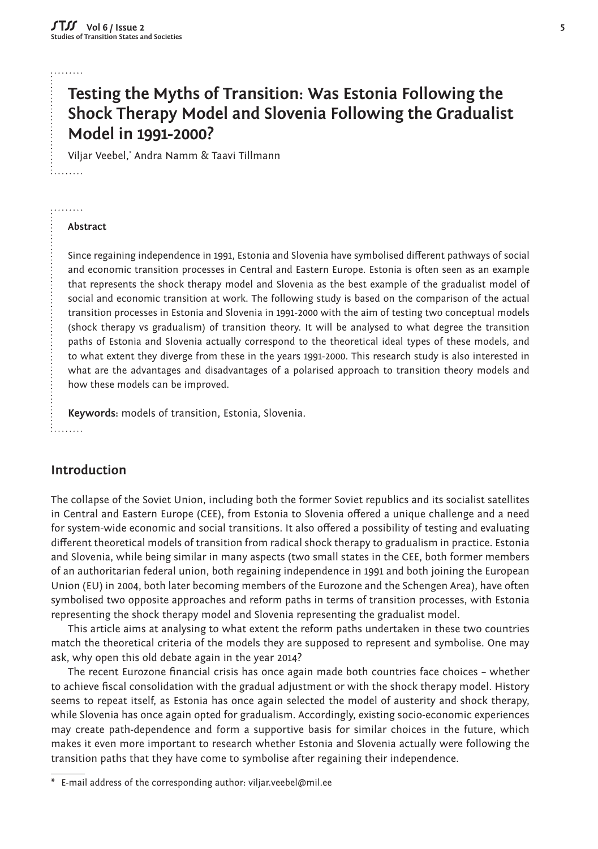#### لتتنبيخ

# **Testing the Myths of Transition: Was Estonia Following the Shock Therapy Model and Slovenia Following the Gradualist Model in 1991-2000?**

Viljar Veebel,\* Andra Namm & Taavi Tillmann

#### **Abstract**

. . . . . . . .

Since regaining independence in 1991, Estonia and Slovenia have symbolised different pathways of social and economic transition processes in Central and Eastern Europe. Estonia is often seen as an example that represents the shock therapy model and Slovenia as the best example of the gradualist model of social and economic transition at work. The following study is based on the comparison of the actual transition processes in Estonia and Slovenia in 1991-2000 with the aim of testing two conceptual models (shock therapy vs gradualism) of transition theory. It will be analysed to what degree the transition paths of Estonia and Slovenia actually correspond to the theoretical ideal types of these models, and to what extent they diverge from these in the years 1991-2000. This research study is also interested in what are the advantages and disadvantages of a polarised approach to transition theory models and how these models can be improved.

**Keywords:** models of transition, Estonia, Slovenia.  $: . . . . . . .$ 

#### **Introduction**

The collapse of the Soviet Union, including both the former Soviet republics and its socialist satellites in Central and Eastern Europe (CEE), from Estonia to Slovenia offered a unique challenge and a need for system-wide economic and social transitions. It also offered a possibility of testing and evaluating different theoretical models of transition from radical shock therapy to gradualism in practice. Estonia and Slovenia, while being similar in many aspects (two small states in the CEE, both former members of an authoritarian federal union, both regaining independence in 1991 and both joining the European Union (EU) in 2004, both later becoming members of the Eurozone and the Schengen Area), have often symbolised two opposite approaches and reform paths in terms of transition processes, with Estonia representing the shock therapy model and Slovenia representing the gradualist model.

This article aims at analysing to what extent the reform paths undertaken in these two countries match the theoretical criteria of the models they are supposed to represent and symbolise. One may ask, why open this old debate again in the year 2014?

The recent Eurozone financial crisis has once again made both countries face choices - whether to achieve fiscal consolidation with the gradual adjustment or with the shock therapy model. History seems to repeat itself, as Estonia has once again selected the model of austerity and shock therapy, while Slovenia has once again opted for gradualism. Accordingly, existing socio-economic experiences may create path-dependence and form a supportive basis for similar choices in the future, which makes it even more important to research whether Estonia and Slovenia actually were following the transition paths that they have come to symbolise after regaining their independence.

E-mail address of the corresponding author: viljar.veebel@mil.ee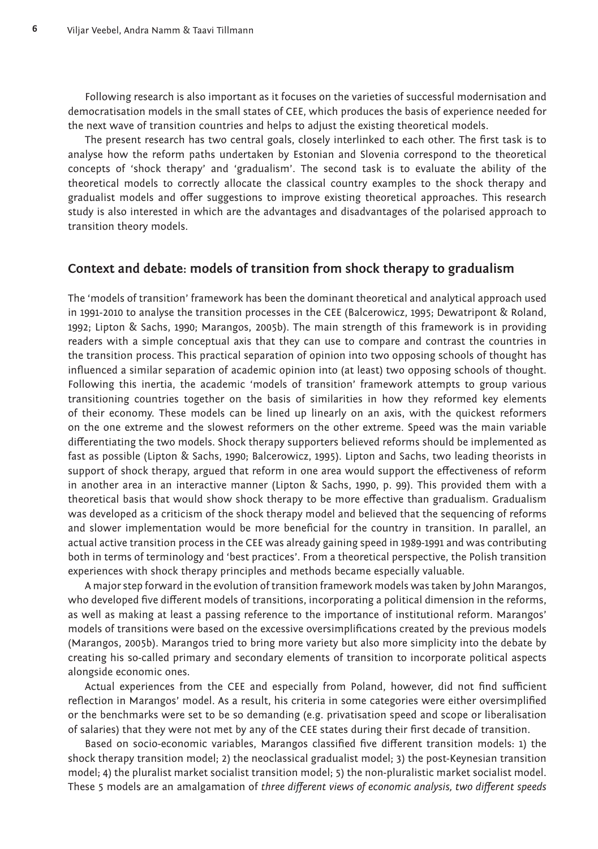Following research is also important as it focuses on the varieties of successful modernisation and democratisation models in the small states of CEE, which produces the basis of experience needed for the next wave of transition countries and helps to adjust the existing theoretical models.

The present research has two central goals, closely interlinked to each other. The first task is to analyse how the reform paths undertaken by Estonian and Slovenia correspond to the theoretical concepts of 'shock therapy' and 'gradualism'. The second task is to evaluate the ability of the theoretical models to correctly allocate the classical country examples to the shock therapy and gradualist models and offer suggestions to improve existing theoretical approaches. This research study is also interested in which are the advantages and disadvantages of the polarised approach to transition theory models.

#### **Context and debate: models of transition from shock therapy to gradualism**

The 'models of transition' framework has been the dominant theoretical and analytical approach used in 1991-2010 to analyse the transition processes in the CEE (Balcerowicz, 1995; Dewatripont & Roland, 1992; Lipton & Sachs, 1990; Marangos, 2005b). The main strength of this framework is in providing readers with a simple conceptual axis that they can use to compare and contrast the countries in the transition process. This practical separation of opinion into two opposing schools of thought has influenced a similar separation of academic opinion into (at least) two opposing schools of thought. Following this inertia, the academic 'models of transition' framework attempts to group various transitioning countries together on the basis of similarities in how they reformed key elements of their economy. These models can be lined up linearly on an axis, with the quickest reformers on the one extreme and the slowest reformers on the other extreme. Speed was the main variable differentiating the two models. Shock therapy supporters believed reforms should be implemented as fast as possible (Lipton & Sachs, 1990; Balcerowicz, 1995). Lipton and Sachs, two leading theorists in support of shock therapy, argued that reform in one area would support the effectiveness of reform in another area in an interactive manner (Lipton & Sachs, 1990, p. 99). This provided them with a theoretical basis that would show shock therapy to be more effective than gradualism. Gradualism was developed as a criticism of the shock therapy model and believed that the sequencing of reforms and slower implementation would be more beneficial for the country in transition. In parallel, an actual active transition process in the CEE was already gaining speed in 1989-1991 and was contributing both in terms of terminology and 'best practices'. From a theoretical perspective, the Polish transition experiences with shock therapy principles and methods became especially valuable.

A major step forward in the evolution of transition framework models was taken by John Marangos, who developed five different models of transitions, incorporating a political dimension in the reforms, as well as making at least a passing reference to the importance of institutional reform. Marangos' models of transitions were based on the excessive oversimplifications created by the previous models (Marangos, 2005b). Marangos tried to bring more variety but also more simplicity into the debate by creating his so-called primary and secondary elements of transition to incorporate political aspects alongside economic ones.

Actual experiences from the CEE and especially from Poland, however, did not find sufficient reflection in Marangos' model. As a result, his criteria in some categories were either oversimplified or the benchmarks were set to be so demanding (e.g. privatisation speed and scope or liberalisation of salaries) that they were not met by any of the CEE states during their first decade of transition.

Based on socio-economic variables, Marangos classified five different transition models: 1) the shock therapy transition model; 2) the neoclassical gradualist model; 3) the post-Keynesian transition model; 4) the pluralist market socialist transition model; 5) the non-pluralistic market socialist model. These 5 models are an amalgamation of *three different views of economic analysis, two different speeds*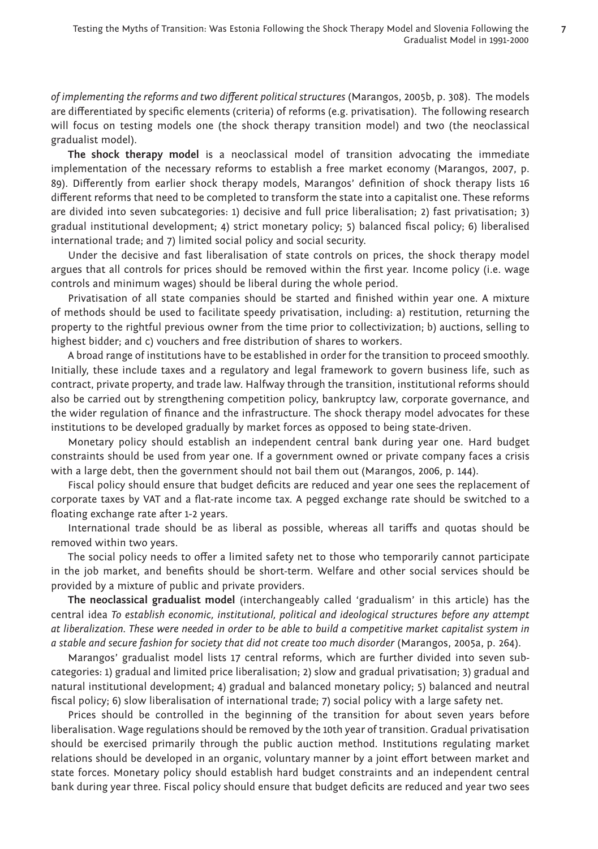*of implementing the reforms and two different political structures* (Marangos, 2005b, p. 308). The models are differentiated by specific elements (criteria) of reforms (e.g. privatisation). The following research will focus on testing models one (the shock therapy transition model) and two (the neoclassical gradualist model).

**The shock therapy model** is a neoclassical model of transition advocating the immediate implementation of the necessary reforms to establish a free market economy (Marangos, 2007, p. 89). Differently from earlier shock therapy models, Marangos' definition of shock therapy lists 16 different reforms that need to be completed to transform the state into a capitalist one. These reforms are divided into seven subcategories: 1) decisive and full price liberalisation; 2) fast privatisation; 3) gradual institutional development; 4) strict monetary policy; 5) balanced fiscal policy; 6) liberalised international trade; and 7) limited social policy and social security.

Under the decisive and fast liberalisation of state controls on prices, the shock therapy model argues that all controls for prices should be removed within the first year. Income policy (i.e. wage controls and minimum wages) should be liberal during the whole period.

Privatisation of all state companies should be started and finished within year one. A mixture of methods should be used to facilitate speedy privatisation, including: a) restitution, returning the property to the rightful previous owner from the time prior to collectivization; b) auctions, selling to highest bidder; and c) vouchers and free distribution of shares to workers.

A broad range of institutions have to be established in order for the transition to proceed smoothly. Initially, these include taxes and a regulatory and legal framework to govern business life, such as contract, private property, and trade law. Halfway through the transition, institutional reforms should also be carried out by strengthening competition policy, bankruptcy law, corporate governance, and the wider regulation of finance and the infrastructure. The shock therapy model advocates for these institutions to be developed gradually by market forces as opposed to being state-driven.

Monetary policy should establish an independent central bank during year one. Hard budget constraints should be used from year one. If a government owned or private company faces a crisis with a large debt, then the government should not bail them out (Marangos, 2006, p. 144).

Fiscal policy should ensure that budget deficits are reduced and year one sees the replacement of corporate taxes by VAT and a flat-rate income tax. A pegged exchange rate should be switched to a floating exchange rate after 1-2 years.

International trade should be as liberal as possible, whereas all tariffs and quotas should be removed within two years.

The social policy needs to offer a limited safety net to those who temporarily cannot participate in the job market, and benefits should be short-term. Welfare and other social services should be provided by a mixture of public and private providers.

**The neoclassical gradualist model** (interchangeably called 'gradualism' in this article) has the central idea *To establish economic, institutional, political and ideological structures before any attempt at liberalization. These were needed in order to be able to build a competitive market capitalist system in a stable and secure fashion for society that did not create too much disorder* (Marangos, 2005a, p. 264).

Marangos' gradualist model lists 17 central reforms, which are further divided into seven subcategories: 1) gradual and limited price liberalisation; 2) slow and gradual privatisation; 3) gradual and natural institutional development; 4) gradual and balanced monetary policy; 5) balanced and neutral fiscal policy; 6) slow liberalisation of international trade; 7) social policy with a large safety net.

Prices should be controlled in the beginning of the transition for about seven years before liberalisation. Wage regulations should be removed by the 10th year of transition. Gradual privatisation should be exercised primarily through the public auction method. Institutions regulating market relations should be developed in an organic, voluntary manner by a joint effort between market and state forces. Monetary policy should establish hard budget constraints and an independent central bank during year three. Fiscal policy should ensure that budget deficits are reduced and year two sees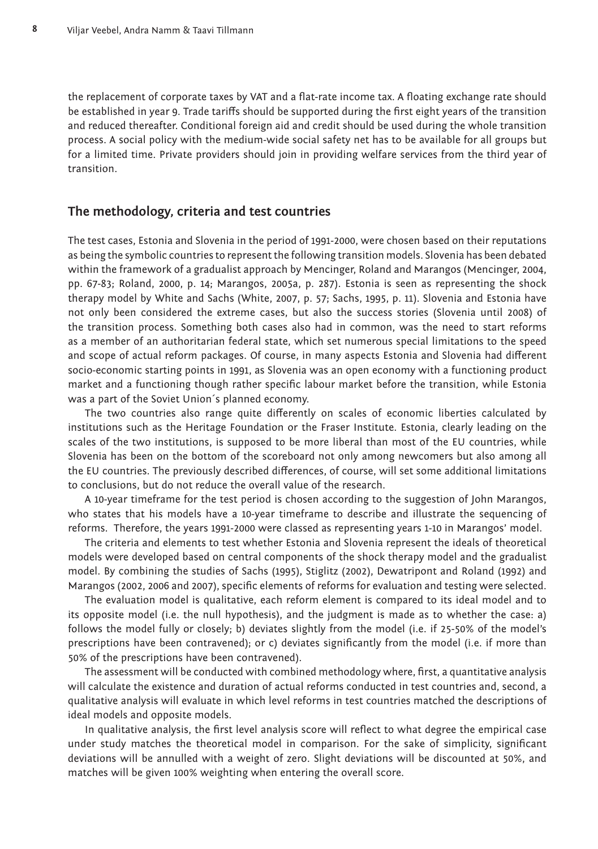the replacement of corporate taxes by VAT and a flat-rate income tax. A floating exchange rate should be established in year 9. Trade tariffs should be supported during the first eight years of the transition and reduced thereafter. Conditional foreign aid and credit should be used during the whole transition process. A social policy with the medium-wide social safety net has to be available for all groups but for a limited time. Private providers should join in providing welfare services from the third year of transition.

#### **The methodology, criteria and test countries**

The test cases, Estonia and Slovenia in the period of 1991-2000, were chosen based on their reputations as being the symbolic countries to represent the following transition models. Slovenia has been debated within the framework of a gradualist approach by Mencinger, Roland and Marangos (Mencinger, 2004, pp. 67-83; Roland, 2000, p. 14; Marangos, 2005a, p. 287). Estonia is seen as representing the shock therapy model by White and Sachs (White, 2007, p. 57; Sachs, 1995, p. 11). Slovenia and Estonia have not only been considered the extreme cases, but also the success stories (Slovenia until 2008) of the transition process. Something both cases also had in common, was the need to start reforms as a member of an authoritarian federal state, which set numerous special limitations to the speed and scope of actual reform packages. Of course, in many aspects Estonia and Slovenia had different socio-economic starting points in 1991, as Slovenia was an open economy with a functioning product market and a functioning though rather specific labour market before the transition, while Estonia was a part of the Soviet Union´s planned economy.

The two countries also range quite differently on scales of economic liberties calculated by institutions such as the Heritage Foundation or the Fraser Institute. Estonia, clearly leading on the scales of the two institutions, is supposed to be more liberal than most of the EU countries, while Slovenia has been on the bottom of the scoreboard not only among newcomers but also among all the EU countries. The previously described differences, of course, will set some additional limitations to conclusions, but do not reduce the overall value of the research.

A 10-year timeframe for the test period is chosen according to the suggestion of John Marangos, who states that his models have a 10-year timeframe to describe and illustrate the sequencing of reforms. Therefore, the years 1991-2000 were classed as representing years 1-10 in Marangos' model.

The criteria and elements to test whether Estonia and Slovenia represent the ideals of theoretical models were developed based on central components of the shock therapy model and the gradualist model. By combining the studies of Sachs (1995), Stiglitz (2002), Dewatripont and Roland (1992) and Marangos (2002, 2006 and 2007), specific elements of reforms for evaluation and testing were selected.

The evaluation model is qualitative, each reform element is compared to its ideal model and to its opposite model (i.e. the null hypothesis), and the judgment is made as to whether the case: a) follows the model fully or closely; b) deviates slightly from the model (i.e. if 25-50% of the model's prescriptions have been contravened); or c) deviates significantly from the model (i.e. if more than 50% of the prescriptions have been contravened).

The assessment will be conducted with combined methodology where, first, a quantitative analysis will calculate the existence and duration of actual reforms conducted in test countries and, second, a qualitative analysis will evaluate in which level reforms in test countries matched the descriptions of ideal models and opposite models.

In qualitative analysis, the first level analysis score will reflect to what degree the empirical case under study matches the theoretical model in comparison. For the sake of simplicity, significant deviations will be annulled with a weight of zero. Slight deviations will be discounted at 50%, and matches will be given 100% weighting when entering the overall score.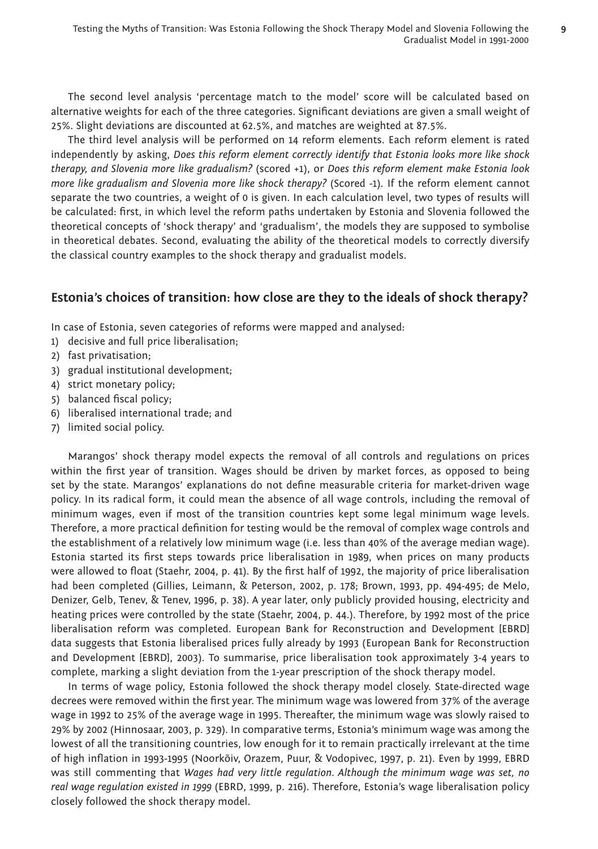The second level analysis 'percentage match to the model' score will be calculated based on alternative weights for each of the three categories. Significant deviations are given a small weight of 25%. Slight deviations are discounted at 62.5%, and matches are weighted at 87.5%.

The third level analysis will be performed on 14 reform elements. Each reform element is rated independently by asking, *Does this reform element correctly identify that Estonia looks more like shock therapy, and Slovenia more like gradualism?* (scored +1), or *Does this reform element make Estonia look more like gradualism and Slovenia more like shock therapy?* (Scored -1). If the reform element cannot separate the two countries, a weight of 0 is given. In each calculation level, two types of results will be calculated: first, in which level the reform paths undertaken by Estonia and Slovenia followed the theoretical concepts of 'shock therapy' and 'gradualism', the models they are supposed to symbolise in theoretical debates. Second, evaluating the ability of the theoretical models to correctly diversify the classical country examples to the shock therapy and gradualist models.

### **Estonia's choices of transition: how close are they to the ideals of shock therapy?**

In case of Estonia, seven categories of reforms were mapped and analysed:

- 1) decisive and full price liberalisation;
- 2) fast privatisation;
- 3) gradual institutional development;
- 4) strict monetary policy;
- 5) balanced fiscal policy;
- 6) liberalised international trade; and
- 7) limited social policy.

Marangos' shock therapy model expects the removal of all controls and regulations on prices within the first year of transition. Wages should be driven by market forces, as opposed to being set by the state. Marangos' explanations do not define measurable criteria for market-driven wage policy. In its radical form, it could mean the absence of all wage controls, including the removal of minimum wages, even if most of the transition countries kept some legal minimum wage levels. Therefore, a more practical definition for testing would be the removal of complex wage controls and the establishment of a relatively low minimum wage (i.e. less than 40% of the average median wage). Estonia started its first steps towards price liberalisation in 1989, when prices on many products were allowed to float (Staehr, 2004, p. 41). By the first half of 1992, the majority of price liberalisation had been completed (Gillies, Leimann, & Peterson, 2002, p. 178; Brown, 1993, pp. 494-495; de Melo, Denizer, Gelb, Tenev, & Tenev, 1996, p. 38). A year later, only publicly provided housing, electricity and heating prices were controlled by the state (Staehr, 2004, p. 44.). Therefore, by 1992 most of the price liberalisation reform was completed. European Bank for Reconstruction and Development [EBRD] data suggests that Estonia liberalised prices fully already by 1993 (European Bank for Reconstruction and Development [EBRD], 2003). To summarise, price liberalisation took approximately 3-4 years to complete, marking a slight deviation from the 1-year prescription of the shock therapy model.

In terms of wage policy, Estonia followed the shock therapy model closely. State-directed wage decrees were removed within the first year. The minimum wage was lowered from 37% of the average wage in 1992 to 25% of the average wage in 1995. Thereafter, the minimum wage was slowly raised to 29% by 2002 (Hinnosaar, 2003, p. 329). In comparative terms, Estonia's minimum wage was among the lowest of all the transitioning countries, low enough for it to remain practically irrelevant at the time of high infl ation in 1993-1995 (Noorkõiv, Orazem, Puur, & Vodopivec, 1997, p. 21). Even by 1999, EBRD was still commenting that *Wages had very little regulation. Although the minimum wage was set, no real wage regulation existed in 1999* (EBRD, 1999, p. 216). Therefore, Estonia's wage liberalisation policy closely followed the shock therapy model.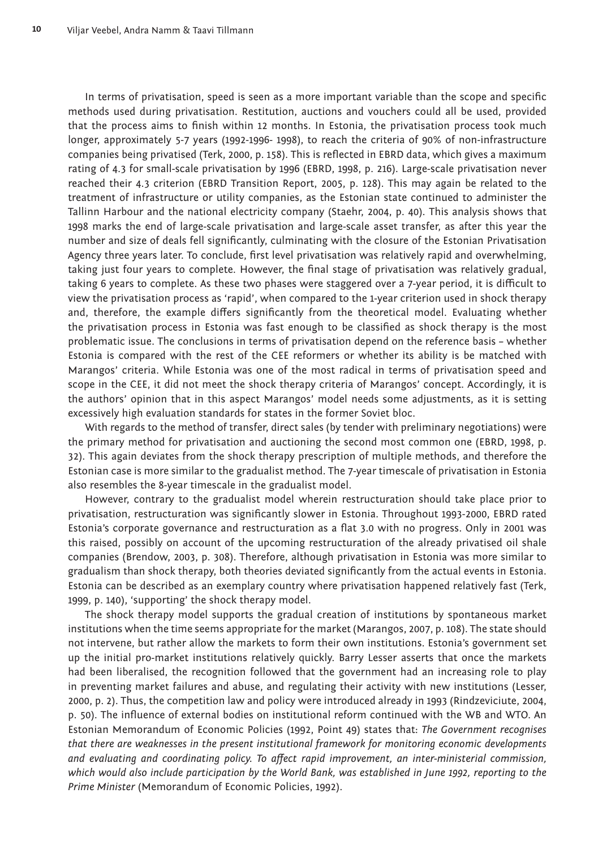In terms of privatisation, speed is seen as a more important variable than the scope and specific methods used during privatisation. Restitution, auctions and vouchers could all be used, provided that the process aims to finish within 12 months. In Estonia, the privatisation process took much longer, approximately 5-7 years (1992-1996- 1998), to reach the criteria of 90% of non-infrastructure companies being privatised (Terk, 2000, p. 158). This is reflected in EBRD data, which gives a maximum rating of 4.3 for small-scale privatisation by 1996 (EBRD, 1998, p. 216). Large-scale privatisation never reached their 4.3 criterion (EBRD Transition Report, 2005, p. 128). This may again be related to the treatment of infrastructure or utility companies, as the Estonian state continued to administer the Tallinn Harbour and the national electricity company (Staehr, 2004, p. 40). This analysis shows that 1998 marks the end of large-scale privatisation and large-scale asset transfer, as after this year the number and size of deals fell significantly, culminating with the closure of the Estonian Privatisation Agency three years later. To conclude, first level privatisation was relatively rapid and overwhelming, taking just four years to complete. However, the final stage of privatisation was relatively gradual, taking 6 years to complete. As these two phases were staggered over a 7-year period, it is difficult to view the privatisation process as 'rapid', when compared to the 1-year criterion used in shock therapy and, therefore, the example differs significantly from the theoretical model. Evaluating whether the privatisation process in Estonia was fast enough to be classified as shock therapy is the most problematic issue. The conclusions in terms of privatisation depend on the reference basis – whether Estonia is compared with the rest of the CEE reformers or whether its ability is be matched with Marangos' criteria. While Estonia was one of the most radical in terms of privatisation speed and scope in the CEE, it did not meet the shock therapy criteria of Marangos' concept. Accordingly, it is the authors' opinion that in this aspect Marangos' model needs some adjustments, as it is setting excessively high evaluation standards for states in the former Soviet bloc.

With regards to the method of transfer, direct sales (by tender with preliminary negotiations) were the primary method for privatisation and auctioning the second most common one (EBRD, 1998, p. 32). This again deviates from the shock therapy prescription of multiple methods, and therefore the Estonian case is more similar to the gradualist method. The 7-year timescale of privatisation in Estonia also resembles the 8-year timescale in the gradualist model.

However, contrary to the gradualist model wherein restructuration should take place prior to privatisation, restructuration was significantly slower in Estonia. Throughout 1993-2000, EBRD rated Estonia's corporate governance and restructuration as a flat 3.0 with no progress. Only in 2001 was this raised, possibly on account of the upcoming restructuration of the already privatised oil shale companies (Brendow, 2003, p. 308). Therefore, although privatisation in Estonia was more similar to gradualism than shock therapy, both theories deviated significantly from the actual events in Estonia. Estonia can be described as an exemplary country where privatisation happened relatively fast (Terk, 1999, p. 140), 'supporting' the shock therapy model.

The shock therapy model supports the gradual creation of institutions by spontaneous market institutions when the time seems appropriate for the market (Marangos, 2007, p. 108). The state should not intervene, but rather allow the markets to form their own institutions. Estonia's government set up the initial pro-market institutions relatively quickly. Barry Lesser asserts that once the markets had been liberalised, the recognition followed that the government had an increasing role to play in preventing market failures and abuse, and regulating their activity with new institutions (Lesser, 2000, p. 2). Thus, the competition law and policy were introduced already in 1993 (Rindzeviciute, 2004, p. 50). The influence of external bodies on institutional reform continued with the WB and WTO. An Estonian Memorandum of Economic Policies (1992, Point 49) states that: *The Government recognises that there are weaknesses in the present institutional framework for monitoring economic developments*  and evaluating and coordinating policy. To affect rapid improvement, an inter-ministerial commission, *which would also include participation by the World Bank, was established in June 1992, reporting to the Prime Minister* (Memorandum of Economic Policies, 1992).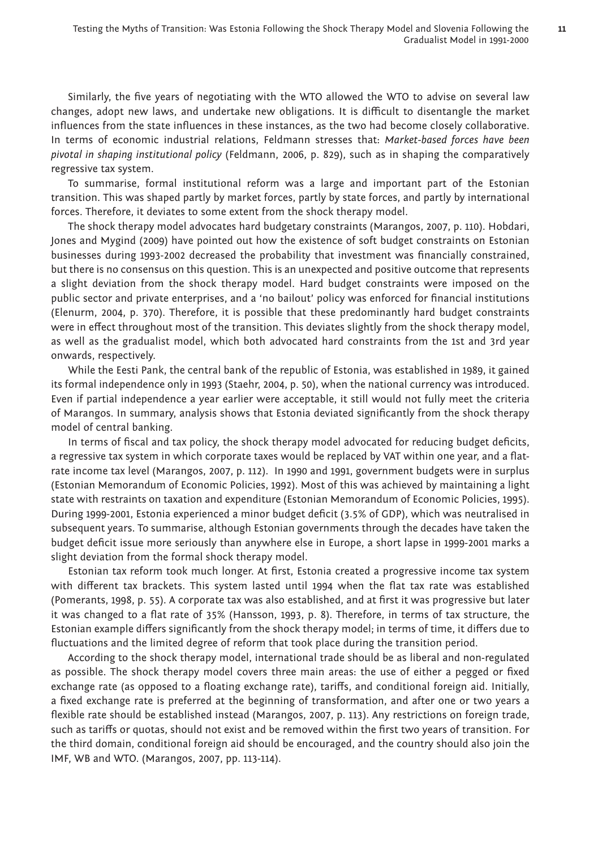Similarly, the five years of negotiating with the WTO allowed the WTO to advise on several law changes, adopt new laws, and undertake new obligations. It is difficult to disentangle the market influences from the state influences in these instances, as the two had become closely collaborative. In terms of economic industrial relations, Feldmann stresses that: *Market-based forces have been pivotal in shaping institutional policy* (Feldmann, 2006, p. 829), such as in shaping the comparatively regressive tax system.

To summarise, formal institutional reform was a large and important part of the Estonian transition. This was shaped partly by market forces, partly by state forces, and partly by international forces. Therefore, it deviates to some extent from the shock therapy model.

The shock therapy model advocates hard budgetary constraints (Marangos, 2007, p. 110). Hobdari, Jones and Mygind (2009) have pointed out how the existence of soft budget constraints on Estonian businesses during 1993-2002 decreased the probability that investment was financially constrained, but there is no consensus on this question. This is an unexpected and positive outcome that represents a slight deviation from the shock therapy model. Hard budget constraints were imposed on the public sector and private enterprises, and a 'no bailout' policy was enforced for financial institutions (Elenurm, 2004, p. 370). Therefore, it is possible that these predominantly hard budget constraints were in effect throughout most of the transition. This deviates slightly from the shock therapy model, as well as the gradualist model, which both advocated hard constraints from the 1st and 3rd year onwards, respectively.

While the Eesti Pank, the central bank of the republic of Estonia, was established in 1989, it gained its formal independence only in 1993 (Staehr, 2004, p. 50), when the national currency was introduced. Even if partial independence a year earlier were acceptable, it still would not fully meet the criteria of Marangos. In summary, analysis shows that Estonia deviated significantly from the shock therapy model of central banking.

In terms of fiscal and tax policy, the shock therapy model advocated for reducing budget deficits, a regressive tax system in which corporate taxes would be replaced by VAT within one year, and a flatrate income tax level (Marangos, 2007, p. 112). In 1990 and 1991, government budgets were in surplus (Estonian Memorandum of Economic Policies, 1992). Most of this was achieved by maintaining a light state with restraints on taxation and expenditure (Estonian Memorandum of Economic Policies, 1995). During 1999-2001, Estonia experienced a minor budget deficit (3.5% of GDP), which was neutralised in subsequent years. To summarise, although Estonian governments through the decades have taken the budget deficit issue more seriously than anywhere else in Europe, a short lapse in 1999-2001 marks a slight deviation from the formal shock therapy model.

Estonian tax reform took much longer. At first, Estonia created a progressive income tax system with different tax brackets. This system lasted until 1994 when the flat tax rate was established (Pomerants, 1998, p. 55). A corporate tax was also established, and at first it was progressive but later it was changed to a flat rate of 35% (Hansson, 1993, p. 8). Therefore, in terms of tax structure, the Estonian example differs significantly from the shock therapy model; in terms of time, it differs due to fluctuations and the limited degree of reform that took place during the transition period.

According to the shock therapy model, international trade should be as liberal and non-regulated as possible. The shock therapy model covers three main areas: the use of either a pegged or fixed exchange rate (as opposed to a floating exchange rate), tariffs, and conditional foreign aid. Initially, a fixed exchange rate is preferred at the beginning of transformation, and after one or two years a flexible rate should be established instead (Marangos, 2007, p. 113). Any restrictions on foreign trade, such as tariffs or quotas, should not exist and be removed within the first two years of transition. For the third domain, conditional foreign aid should be encouraged, and the country should also join the IMF, WB and WTO. (Marangos, 2007, pp. 113-114).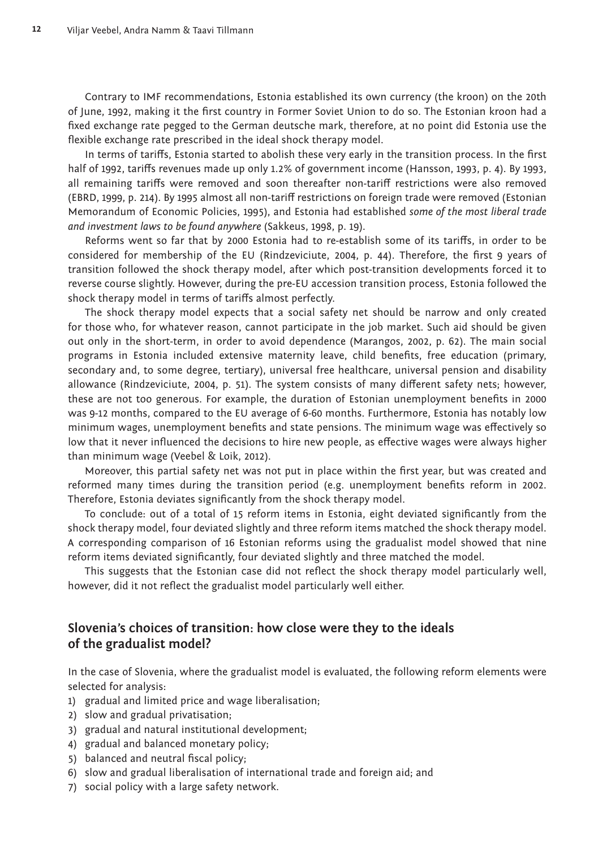Contrary to IMF recommendations, Estonia established its own currency (the kroon) on the 20th of June, 1992, making it the first country in Former Soviet Union to do so. The Estonian kroon had a fixed exchange rate pegged to the German deutsche mark, therefore, at no point did Estonia use the flexible exchange rate prescribed in the ideal shock therapy model.

In terms of tariffs, Estonia started to abolish these very early in the transition process. In the first half of 1992, tariffs revenues made up only 1.2% of government income (Hansson, 1993, p. 4). By 1993, all remaining tariffs were removed and soon thereafter non-tariff restrictions were also removed (EBRD, 1999, p. 214). By 1995 almost all non-tariff restrictions on foreign trade were removed (Estonian Memorandum of Economic Policies, 1995), and Estonia had established *some of the most liberal trade and investment laws to be found anywhere* (Sakkeus, 1998, p. 19).

Reforms went so far that by 2000 Estonia had to re-establish some of its tariffs, in order to be considered for membership of the EU (Rindzeviciute, 2004, p. 44). Therefore, the first 9 years of transition followed the shock therapy model, after which post-transition developments forced it to reverse course slightly. However, during the pre-EU accession transition process, Estonia followed the shock therapy model in terms of tariffs almost perfectly.

The shock therapy model expects that a social safety net should be narrow and only created for those who, for whatever reason, cannot participate in the job market. Such aid should be given out only in the short-term, in order to avoid dependence (Marangos, 2002, p. 62). The main social programs in Estonia included extensive maternity leave, child benefits, free education (primary, secondary and, to some degree, tertiary), universal free healthcare, universal pension and disability allowance (Rindzeviciute, 2004, p. 51). The system consists of many different safety nets; however, these are not too generous. For example, the duration of Estonian unemployment benefits in 2000 was 9-12 months, compared to the EU average of 6-60 months. Furthermore, Estonia has notably low minimum wages, unemployment benefits and state pensions. The minimum wage was effectively so low that it never influenced the decisions to hire new people, as effective wages were always higher than minimum wage (Veebel & Loik, 2012).

Moreover, this partial safety net was not put in place within the first year, but was created and reformed many times during the transition period (e.g. unemployment benefits reform in 2002. Therefore, Estonia deviates significantly from the shock therapy model.

To conclude: out of a total of 15 reform items in Estonia, eight deviated significantly from the shock therapy model, four deviated slightly and three reform items matched the shock therapy model. A corresponding comparison of 16 Estonian reforms using the gradualist model showed that nine reform items deviated significantly, four deviated slightly and three matched the model.

This suggests that the Estonian case did not reflect the shock therapy model particularly well, however, did it not reflect the gradualist model particularly well either.

## **Slovenia's choices of transition: how close were they to the ideals of the gradualist model?**

In the case of Slovenia, where the gradualist model is evaluated, the following reform elements were selected for analysis:

- 1) gradual and limited price and wage liberalisation;
- 2) slow and gradual privatisation;
- 3) gradual and natural institutional development;
- 4) gradual and balanced monetary policy;
- 5) balanced and neutral fiscal policy;
- 6) slow and gradual liberalisation of international trade and foreign aid; and
- 7) social policy with a large safety network.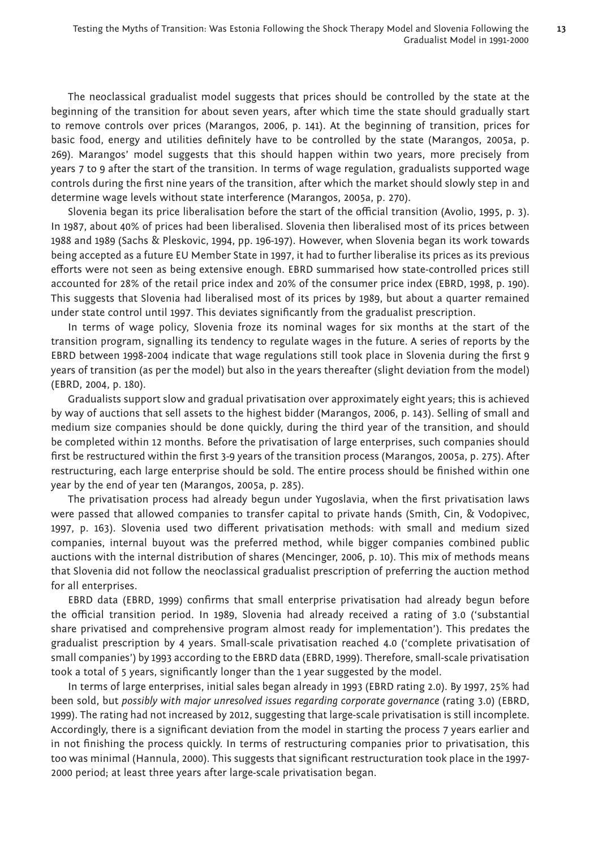The neoclassical gradualist model suggests that prices should be controlled by the state at the beginning of the transition for about seven years, after which time the state should gradually start to remove controls over prices (Marangos, 2006, p. 141). At the beginning of transition, prices for basic food, energy and utilities definitely have to be controlled by the state (Marangos, 2005a, p. 269). Marangos' model suggests that this should happen within two years, more precisely from years 7 to 9 after the start of the transition. In terms of wage regulation, gradualists supported wage controls during the first nine years of the transition, after which the market should slowly step in and determine wage levels without state interference (Marangos, 2005a, p. 270).

Slovenia began its price liberalisation before the start of the official transition (Avolio, 1995, p. 3). In 1987, about 40% of prices had been liberalised. Slovenia then liberalised most of its prices between 1988 and 1989 (Sachs & Pleskovic, 1994, pp. 196-197). However, when Slovenia began its work towards being accepted as a future EU Member State in 1997, it had to further liberalise its prices as its previous efforts were not seen as being extensive enough. EBRD summarised how state-controlled prices still accounted for 28% of the retail price index and 20% of the consumer price index (EBRD, 1998, p. 190). This suggests that Slovenia had liberalised most of its prices by 1989, but about a quarter remained under state control until 1997. This deviates significantly from the gradualist prescription.

In terms of wage policy, Slovenia froze its nominal wages for six months at the start of the transition program, signalling its tendency to regulate wages in the future. A series of reports by the EBRD between 1998-2004 indicate that wage regulations still took place in Slovenia during the first 9 years of transition (as per the model) but also in the years thereafter (slight deviation from the model) (EBRD, 2004, p. 180).

Gradualists support slow and gradual privatisation over approximately eight years; this is achieved by way of auctions that sell assets to the highest bidder (Marangos, 2006, p. 143). Selling of small and medium size companies should be done quickly, during the third year of the transition, and should be completed within 12 months. Before the privatisation of large enterprises, such companies should first be restructured within the first 3-9 years of the transition process (Marangos, 2005a, p. 275). After restructuring, each large enterprise should be sold. The entire process should be finished within one year by the end of year ten (Marangos, 2005a, p. 285).

The privatisation process had already begun under Yugoslavia, when the first privatisation laws were passed that allowed companies to transfer capital to private hands (Smith, Cin, & Vodopivec, 1997, p. 163). Slovenia used two different privatisation methods: with small and medium sized companies, internal buyout was the preferred method, while bigger companies combined public auctions with the internal distribution of shares (Mencinger, 2006, p. 10). This mix of methods means that Slovenia did not follow the neoclassical gradualist prescription of preferring the auction method for all enterprises.

EBRD data (EBRD, 1999) confirms that small enterprise privatisation had already begun before the official transition period. In 1989, Slovenia had already received a rating of 3.0 ('substantial share privatised and comprehensive program almost ready for implementation'). This predates the gradualist prescription by 4 years. Small-scale privatisation reached 4.0 ('complete privatisation of small companies') by 1993 according to the EBRD data (EBRD, 1999). Therefore, small-scale privatisation took a total of 5 years, significantly longer than the 1 year suggested by the model.

In terms of large enterprises, initial sales began already in 1993 (EBRD rating 2.0). By 1997, 25% had been sold, but *possibly with major unresolved issues regarding corporate governance* (rating 3.0) (EBRD, 1999). The rating had not increased by 2012, suggesting that large-scale privatisation is still incomplete. Accordingly, there is a significant deviation from the model in starting the process 7 years earlier and in not finishing the process quickly. In terms of restructuring companies prior to privatisation, this too was minimal (Hannula, 2000). This suggests that significant restructuration took place in the 1997-2000 period; at least three years after large-scale privatisation began.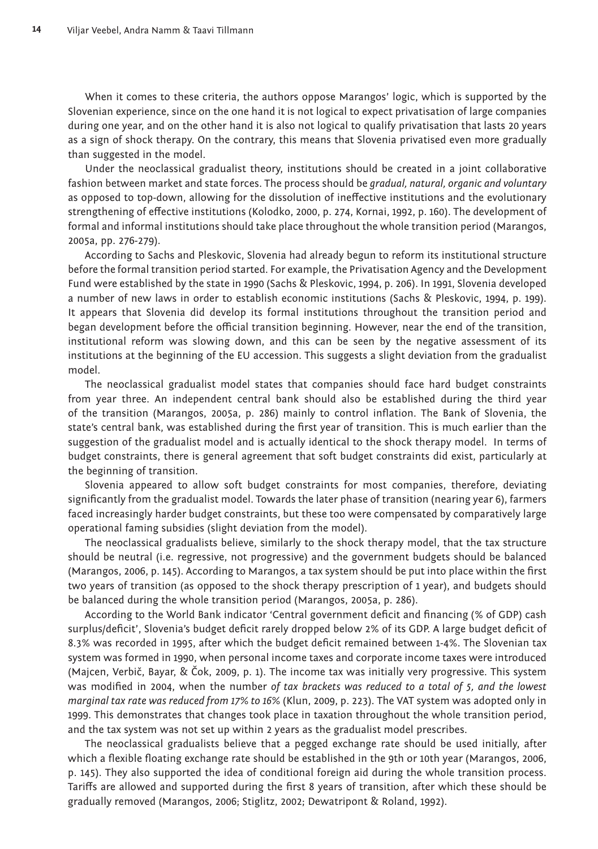When it comes to these criteria, the authors oppose Marangos' logic, which is supported by the Slovenian experience, since on the one hand it is not logical to expect privatisation of large companies during one year, and on the other hand it is also not logical to qualify privatisation that lasts 20 years as a sign of shock therapy. On the contrary, this means that Slovenia privatised even more gradually than suggested in the model.

Under the neoclassical gradualist theory, institutions should be created in a joint collaborative fashion between market and state forces. The process should be *gradual, natural, organic and voluntary* as opposed to top-down, allowing for the dissolution of ineffective institutions and the evolutionary strengthening of effective institutions (Kolodko, 2000, p. 274, Kornai, 1992, p. 160). The development of formal and informal institutions should take place throughout the whole transition period (Marangos, 2005a, pp. 276-279).

According to Sachs and Pleskovic, Slovenia had already begun to reform its institutional structure before the formal transition period started. For example, the Privatisation Agency and the Development Fund were established by the state in 1990 (Sachs & Pleskovic, 1994, p. 206). In 1991, Slovenia developed a number of new laws in order to establish economic institutions (Sachs & Pleskovic, 1994, p. 199). It appears that Slovenia did develop its formal institutions throughout the transition period and began development before the official transition beginning. However, near the end of the transition, institutional reform was slowing down, and this can be seen by the negative assessment of its institutions at the beginning of the EU accession. This suggests a slight deviation from the gradualist model.

The neoclassical gradualist model states that companies should face hard budget constraints from year three. An independent central bank should also be established during the third year of the transition (Marangos, 2005a, p. 286) mainly to control inflation. The Bank of Slovenia, the state's central bank, was established during the first year of transition. This is much earlier than the suggestion of the gradualist model and is actually identical to the shock therapy model. In terms of budget constraints, there is general agreement that soft budget constraints did exist, particularly at the beginning of transition.

Slovenia appeared to allow soft budget constraints for most companies, therefore, deviating significantly from the gradualist model. Towards the later phase of transition (nearing year 6), farmers faced increasingly harder budget constraints, but these too were compensated by comparatively large operational faming subsidies (slight deviation from the model).

The neoclassical gradualists believe, similarly to the shock therapy model, that the tax structure should be neutral (i.e. regressive, not progressive) and the government budgets should be balanced (Marangos, 2006, p. 145). According to Marangos, a tax system should be put into place within the first two years of transition (as opposed to the shock therapy prescription of 1 year), and budgets should be balanced during the whole transition period (Marangos, 2005a, p. 286).

According to the World Bank indicator 'Central government deficit and financing (% of GDP) cash surplus/deficit', Slovenia's budget deficit rarely dropped below 2% of its GDP. A large budget deficit of 8.3% was recorded in 1995, after which the budget deficit remained between 1-4%. The Slovenian tax system was formed in 1990, when personal income taxes and corporate income taxes were introduced (Majcen, Verbič, Bayar, & Čok, 2009, p. 1). The income tax was initially very progressive. This system was modified in 2004, when the number of tax brackets was reduced to a total of 5, and the lowest *marginal tax rate was reduced from 17% to 16%* (Klun, 2009, p. 223). The VAT system was adopted only in 1999. This demonstrates that changes took place in taxation throughout the whole transition period, and the tax system was not set up within 2 years as the gradualist model prescribes.

The neoclassical gradualists believe that a pegged exchange rate should be used initially, after which a flexible floating exchange rate should be established in the 9th or 10th year (Marangos, 2006, p. 145). They also supported the idea of conditional foreign aid during the whole transition process. Tariffs are allowed and supported during the first 8 years of transition, after which these should be gradually removed (Marangos, 2006; Stiglitz, 2002; Dewatripont & Roland, 1992).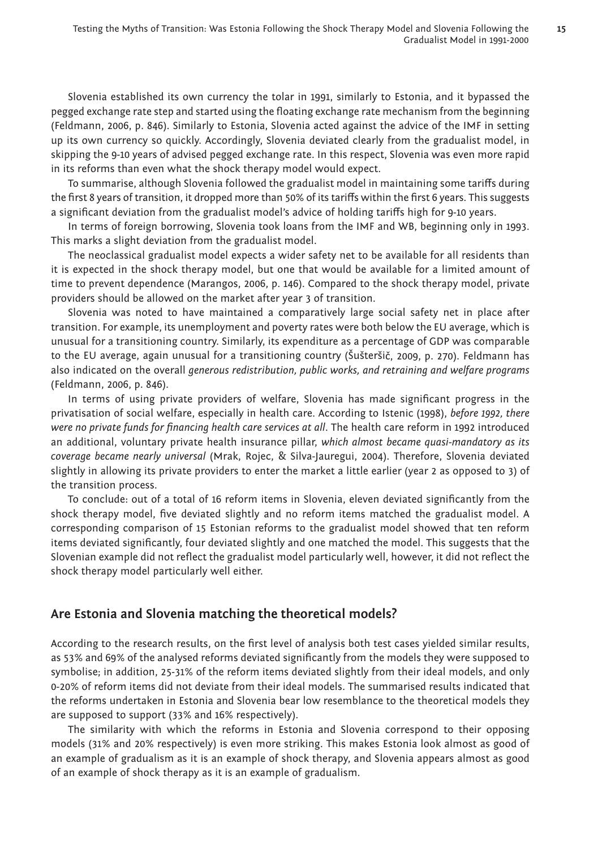Slovenia established its own currency the tolar in 1991, similarly to Estonia, and it bypassed the pegged exchange rate step and started using the floating exchange rate mechanism from the beginning (Feldmann, 2006, p. 846). Similarly to Estonia, Slovenia acted against the advice of the IMF in setting up its own currency so quickly. Accordingly, Slovenia deviated clearly from the gradualist model, in skipping the 9-10 years of advised pegged exchange rate. In this respect, Slovenia was even more rapid in its reforms than even what the shock therapy model would expect.

To summarise, although Slovenia followed the gradualist model in maintaining some tariffs during the first 8 years of transition, it dropped more than 50% of its tariffs within the first 6 years. This suggests a significant deviation from the gradualist model's advice of holding tariffs high for 9-10 years.

In terms of foreign borrowing, Slovenia took loans from the IMF and WB, beginning only in 1993. This marks a slight deviation from the gradualist model.

The neoclassical gradualist model expects a wider safety net to be available for all residents than it is expected in the shock therapy model, but one that would be available for a limited amount of time to prevent dependence (Marangos, 2006, p. 146). Compared to the shock therapy model, private providers should be allowed on the market after year 3 of transition.

Slovenia was noted to have maintained a comparatively large social safety net in place after transition. For example, its unemployment and poverty rates were both below the EU average, which is unusual for a transitioning country. Similarly, its expenditure as a percentage of GDP was comparable to the EU average, again unusual for a transitioning country (Šušteršič, 2009, p. 270). Feldmann has also indicated on the overall *generous redistribution, public works, and retraining and welfare programs* (Feldmann, 2006, p. 846).

In terms of using private providers of welfare, Slovenia has made significant progress in the privatisation of social welfare, especially in health care. According to Istenic (1998), *before 1992, there*  were no private funds for financing health care services at all. The health care reform in 1992 introduced an additional, voluntary private health insurance pillar, *which almost became quasi-mandatory as its coverage became nearly universal* (Mrak, Rojec, & Silva-Jauregui, 2004). Therefore, Slovenia deviated slightly in allowing its private providers to enter the market a little earlier (year 2 as opposed to 3) of the transition process.

To conclude: out of a total of 16 reform items in Slovenia, eleven deviated significantly from the shock therapy model, five deviated slightly and no reform items matched the gradualist model. A corresponding comparison of 15 Estonian reforms to the gradualist model showed that ten reform items deviated significantly, four deviated slightly and one matched the model. This suggests that the Slovenian example did not reflect the gradualist model particularly well, however, it did not reflect the shock therapy model particularly well either.

### **Are Estonia and Slovenia matching the theoretical models?**

According to the research results, on the first level of analysis both test cases yielded similar results, as 53% and 69% of the analysed reforms deviated significantly from the models they were supposed to symbolise; in addition, 25-31% of the reform items deviated slightly from their ideal models, and only 0-20% of reform items did not deviate from their ideal models. The summarised results indicated that the reforms undertaken in Estonia and Slovenia bear low resemblance to the theoretical models they are supposed to support (33% and 16% respectively).

The similarity with which the reforms in Estonia and Slovenia correspond to their opposing models (31% and 20% respectively) is even more striking. This makes Estonia look almost as good of an example of gradualism as it is an example of shock therapy, and Slovenia appears almost as good of an example of shock therapy as it is an example of gradualism.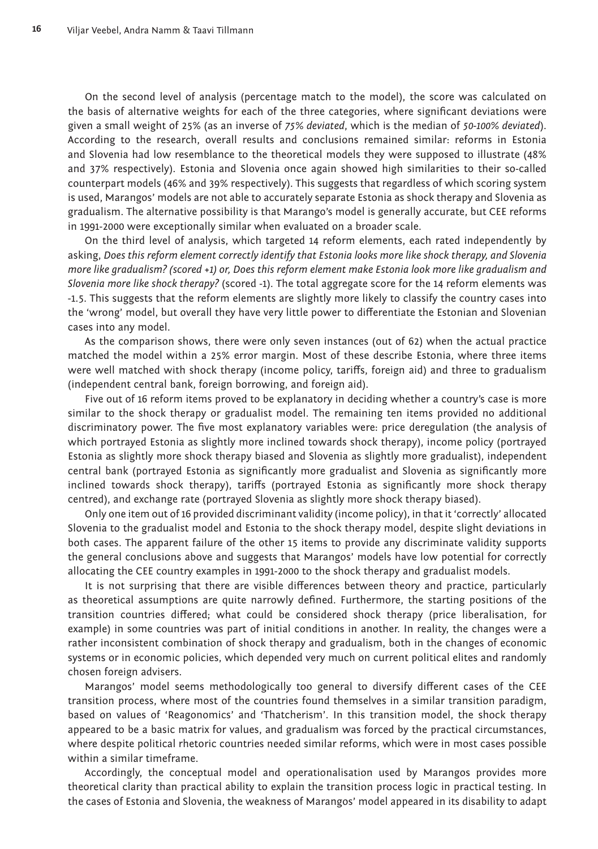On the second level of analysis (percentage match to the model), the score was calculated on the basis of alternative weights for each of the three categories, where significant deviations were given a small weight of 25% (as an inverse of *75% deviated*, which is the median of *50-100% deviated*). According to the research, overall results and conclusions remained similar: reforms in Estonia and Slovenia had low resemblance to the theoretical models they were supposed to illustrate (48% and 37% respectively). Estonia and Slovenia once again showed high similarities to their so-called counterpart models (46% and 39% respectively). This suggests that regardless of which scoring system is used, Marangos' models are not able to accurately separate Estonia as shock therapy and Slovenia as gradualism. The alternative possibility is that Marango's model is generally accurate, but CEE reforms in 1991-2000 were exceptionally similar when evaluated on a broader scale.

On the third level of analysis, which targeted 14 reform elements, each rated independently by asking, *Does this reform element correctly identify that Estonia looks more like shock therapy, and Slovenia more like gradualism? (scored +1) or, Does this reform element make Estonia look more like gradualism and Slovenia more like shock therapy?* (scored -1). The total aggregate score for the 14 reform elements was -1.5. This suggests that the reform elements are slightly more likely to classify the country cases into the 'wrong' model, but overall they have very little power to differentiate the Estonian and Slovenian cases into any model.

As the comparison shows, there were only seven instances (out of 62) when the actual practice matched the model within a 25% error margin. Most of these describe Estonia, where three items were well matched with shock therapy (income policy, tariffs, foreign aid) and three to gradualism (independent central bank, foreign borrowing, and foreign aid).

Five out of 16 reform items proved to be explanatory in deciding whether a country's case is more similar to the shock therapy or gradualist model. The remaining ten items provided no additional discriminatory power. The five most explanatory variables were: price deregulation (the analysis of which portrayed Estonia as slightly more inclined towards shock therapy), income policy (portrayed Estonia as slightly more shock therapy biased and Slovenia as slightly more gradualist), independent central bank (portrayed Estonia as significantly more gradualist and Slovenia as significantly more inclined towards shock therapy), tariffs (portrayed Estonia as significantly more shock therapy centred), and exchange rate (portrayed Slovenia as slightly more shock therapy biased).

Only one item out of 16 provided discriminant validity (income policy), in that it 'correctly' allocated Slovenia to the gradualist model and Estonia to the shock therapy model, despite slight deviations in both cases. The apparent failure of the other 15 items to provide any discriminate validity supports the general conclusions above and suggests that Marangos' models have low potential for correctly allocating the CEE country examples in 1991-2000 to the shock therapy and gradualist models.

It is not surprising that there are visible differences between theory and practice, particularly as theoretical assumptions are quite narrowly defined. Furthermore, the starting positions of the transition countries differed; what could be considered shock therapy (price liberalisation, for example) in some countries was part of initial conditions in another. In reality, the changes were a rather inconsistent combination of shock therapy and gradualism, both in the changes of economic systems or in economic policies, which depended very much on current political elites and randomly chosen foreign advisers.

Marangos' model seems methodologically too general to diversify different cases of the CEE transition process, where most of the countries found themselves in a similar transition paradigm, based on values of 'Reagonomics' and 'Thatcherism'. In this transition model, the shock therapy appeared to be a basic matrix for values, and gradualism was forced by the practical circumstances, where despite political rhetoric countries needed similar reforms, which were in most cases possible within a similar timeframe.

Accordingly, the conceptual model and operationalisation used by Marangos provides more theoretical clarity than practical ability to explain the transition process logic in practical testing. In the cases of Estonia and Slovenia, the weakness of Marangos' model appeared in its disability to adapt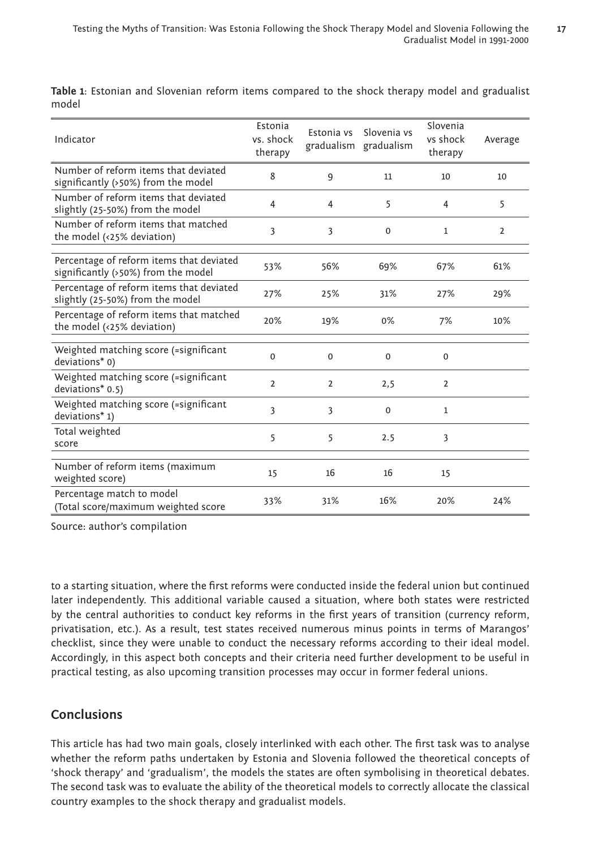**17**

| Indicator                                                                       | Estonia<br>vs. shock<br>therapy | Estonia vs     | Slovenia vs<br>gradualism gradualism | Slovenia<br>vs shock<br>therapy | Average        |
|---------------------------------------------------------------------------------|---------------------------------|----------------|--------------------------------------|---------------------------------|----------------|
| Number of reform items that deviated<br>significantly (>50%) from the model     | 8                               | 9              | 11                                   | 10                              | 10             |
| Number of reform items that deviated<br>slightly (25-50%) from the model        | 4                               | 4              | 5                                    | 4                               | 5              |
| Number of reform items that matched<br>the model (<25% deviation)               | 3                               | 3              | 0                                    | $\mathbf{1}$                    | $\overline{2}$ |
| Percentage of reform items that deviated<br>significantly (>50%) from the model | 53%                             | 56%            | 69%                                  | 67%                             | 61%            |
| Percentage of reform items that deviated<br>slightly (25-50%) from the model    | 27%                             | 25%            | 31%                                  | 27%                             | 29%            |
| Percentage of reform items that matched<br>the model (<25% deviation)           | 20%                             | 19%            | 0%                                   | 7%                              | 10%            |
| Weighted matching score (=significant<br>deviations* 0)                         | $\Omega$                        | $\mathbf 0$    | $\mathbf 0$                          | $\Omega$                        |                |
| Weighted matching score (=significant<br>deviations* 0.5)                       | $\overline{2}$                  | $\overline{2}$ | 2,5                                  | $\overline{2}$                  |                |
| Weighted matching score (=significant<br>deviations* 1)                         | 3                               | 3              | $\mathbf 0$                          | 1                               |                |
| Total weighted<br>score                                                         | 5                               | 5              | 2.5                                  | 3                               |                |
| Number of reform items (maximum<br>weighted score)                              | 15                              | 16             | 16                                   | 15                              |                |
| Percentage match to model<br>(Total score/maximum weighted score                | 33%                             | 31%            | 16%                                  | 20%                             | 24%            |

**Table 1**: Estonian and Slovenian reform items compared to the shock therapy model and gradualist model

Source: author's compilation

to a starting situation, where the first reforms were conducted inside the federal union but continued later independently. This additional variable caused a situation, where both states were restricted by the central authorities to conduct key reforms in the first years of transition (currency reform, privatisation, etc.). As a result, test states received numerous minus points in terms of Marangos' checklist, since they were unable to conduct the necessary reforms according to their ideal model. Accordingly, in this aspect both concepts and their criteria need further development to be useful in practical testing, as also upcoming transition processes may occur in former federal unions.

# **Conclusions**

This article has had two main goals, closely interlinked with each other. The first task was to analyse whether the reform paths undertaken by Estonia and Slovenia followed the theoretical concepts of 'shock therapy' and 'gradualism', the models the states are often symbolising in theoretical debates. The second task was to evaluate the ability of the theoretical models to correctly allocate the classical country examples to the shock therapy and gradualist models.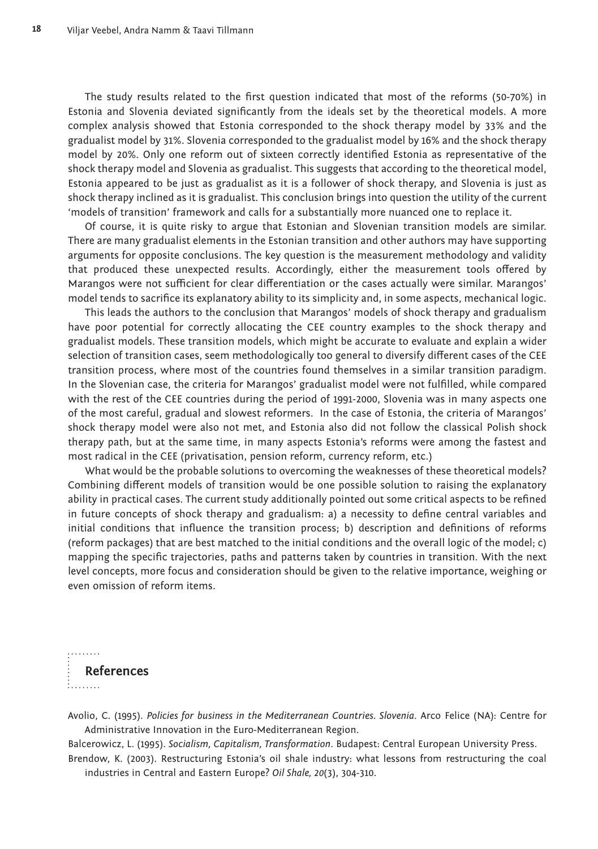The study results related to the first question indicated that most of the reforms (50-70%) in Estonia and Slovenia deviated significantly from the ideals set by the theoretical models. A more complex analysis showed that Estonia corresponded to the shock therapy model by 33% and the gradualist model by 31%. Slovenia corresponded to the gradualist model by 16% and the shock therapy model by 20%. Only one reform out of sixteen correctly identified Estonia as representative of the shock therapy model and Slovenia as gradualist. This suggests that according to the theoretical model, Estonia appeared to be just as gradualist as it is a follower of shock therapy, and Slovenia is just as shock therapy inclined as it is gradualist. This conclusion brings into question the utility of the current 'models of transition' framework and calls for a substantially more nuanced one to replace it.

Of course, it is quite risky to argue that Estonian and Slovenian transition models are similar. There are many gradualist elements in the Estonian transition and other authors may have supporting arguments for opposite conclusions. The key question is the measurement methodology and validity that produced these unexpected results. Accordingly, either the measurement tools offered by Marangos were not sufficient for clear differentiation or the cases actually were similar. Marangos' model tends to sacrifice its explanatory ability to its simplicity and, in some aspects, mechanical logic.

This leads the authors to the conclusion that Marangos' models of shock therapy and gradualism have poor potential for correctly allocating the CEE country examples to the shock therapy and gradualist models. These transition models, which might be accurate to evaluate and explain a wider selection of transition cases, seem methodologically too general to diversify different cases of the CEE transition process, where most of the countries found themselves in a similar transition paradigm. In the Slovenian case, the criteria for Marangos' gradualist model were not fulfilled, while compared with the rest of the CEE countries during the period of 1991-2000, Slovenia was in many aspects one of the most careful, gradual and slowest reformers. In the case of Estonia, the criteria of Marangos' shock therapy model were also not met, and Estonia also did not follow the classical Polish shock therapy path, but at the same time, in many aspects Estonia's reforms were among the fastest and most radical in the CEE (privatisation, pension reform, currency reform, etc.)

What would be the probable solutions to overcoming the weaknesses of these theoretical models? Combining different models of transition would be one possible solution to raising the explanatory ability in practical cases. The current study additionally pointed out some critical aspects to be refined in future concepts of shock therapy and gradualism: a) a necessity to define central variables and initial conditions that influence the transition process; b) description and definitions of reforms (reform packages) that are best matched to the initial conditions and the overall logic of the model; c) mapping the specific trajectories, paths and patterns taken by countries in transition. With the next level concepts, more focus and consideration should be given to the relative importance, weighing or even omission of reform items.



.........

Avolio, C. (1995). *Policies for business in the Mediterranean Countries. Slovenia*. Arco Felice (NA): Centre for Administrative Innovation in the Euro-Mediterranean Region.

Balcerowicz, L. (1995). *Socialism, Capitalism, Transformation*. Budapest: Central European University Press. Brendow, K. (2003). Restructuring Estonia's oil shale industry: what lessons from restructuring the coal

industries in Central and Eastern Europe? *Oil Shale, 20*(3), 304-310.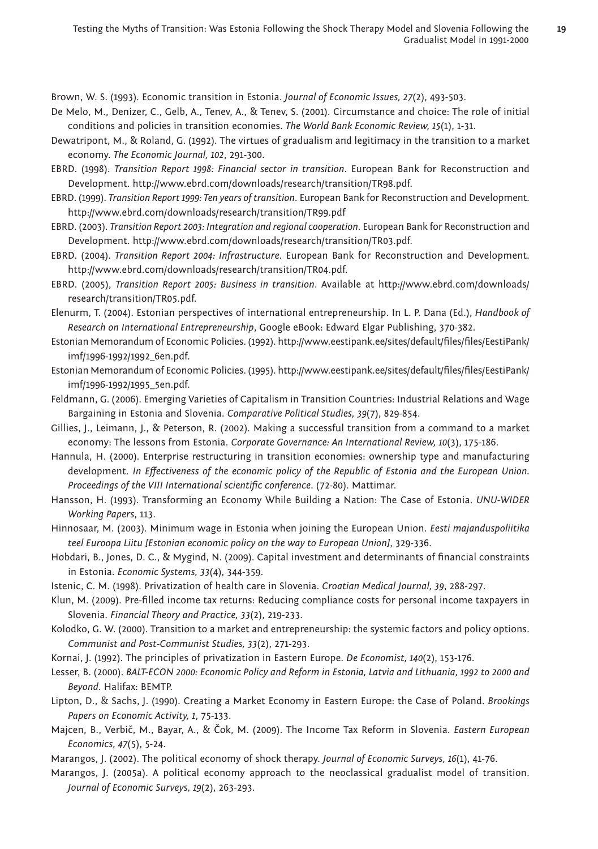Brown, W. S. (1993). Economic transition in Estonia. *Journal of Economic Issues, 27*(2), 493-503.

- De Melo, M., Denizer, C., Gelb, A., Tenev, A., & Tenev, S. (2001). Circumstance and choice: The role of initial conditions and policies in transition economies. *The World Bank Economic Review, 15*(1), 1-31.
- Dewatripont, M., & Roland, G. (1992). The virtues of gradualism and legitimacy in the transition to a market economy. *The Economic Journal, 102*, 291-300.
- EBRD. (1998). *Transition Report 1998: Financial sector in transition*. European Bank for Reconstruction and Develop ment. http://www.ebrd.com/downloads/research/transition/TR98.pdf.
- EBRD. (1999). *Transition Report 1999: Ten years of transition*. European Bank for Reconstruction and Development. http://www.ebrd.com/downloads/research/transition/TR99.pdf
- EBRD. (2003). *Transition Report 2003: Integration and regional cooperation*. European Bank for Reconstruction and Development. http://www.ebrd.com/downloads/research/transition/TR03.pdf.
- EBRD. (2004). *Transition Report 2004: Infrastructure*. European Bank for Reconstruction and Development. http://www.ebrd.com/downloads/research/transition/TR04.pdf.
- EBRD. (2005), *Transition Report 2005: Business in transition*. Available at http://www.ebrd.com/downloads/ research/transition/TR05.pdf.
- Elenurm, T. (2004). Estonian perspectives of international entrepreneurship. In L. P. Dana (Ed.), *Handbook of Research on International Entrepreneurship*, Google eBook: Edward Elgar Publishing, 370-382.
- Estonian Memorandum of Economic Policies. (1992). http://www.eestipank.ee/sites/default/files/files/EestiPank/ imf/1996-1992/1992\_6en.pdf.
- Estonian Memorandum of Economic Policies. (1995). http://www.eestipank.ee/sites/default/files/files/EestiPank/ imf/1996-1992/1995\_5en.pdf.
- Feldmann, G. (2006). Emerging Varieties of Capitalism in Transition Countries: Industrial Relations and Wage Bargaining in Estonia and Slovenia. *Comparative Political Studies, 39*(7), 829-854.
- Gillies, J., Leimann, J., & Peterson, R. (2002). Making a successful transition from a command to a market economy: The lessons from Estonia. *Corporate Governance: An International Review, 10*(3), 175-186.
- Hannula, H. (2000). Enterprise restructuring in transition economies: ownership type and manufacturing development. *In Effectiveness of the economic policy of the Republic of Estonia and the European Union*. *Proceedings of the VIII International scientific conference. (72-80). Mattimar.*
- Hansson, H. (1993). Transforming an Economy While Building a Nation: The Case of Estonia. *UNU-WIDER Working Papers*, 113.
- Hinnosaar, M. (2003). Minimum wage in Estonia when joining the European Union. *Eesti majanduspoliitika teel Euroopa Liitu [Estonian economic policy on the way to European Union]*, 329-336.
- Hobdari, B., Jones, D. C., & Mygind, N. (2009). Capital investment and determinants of financial constraints in Estonia. *Economic Systems, 33*(4), 344-359.
- Istenic, C. M. (1998). Privatization of health care in Slovenia. *Croatian Medical Journal, 39*, 288-297.
- Klun, M. (2009). Pre-filled income tax returns: Reducing compliance costs for personal income taxpayers in Slovenia. *Financial Theory and Practice, 33*(2), 219-233.
- Kolodko, G. W. (2000). Transition to a market and entrepreneurship: the systemic factors and policy options. *Communist and Post-Communist Studies, 33*(2), 271-293.
- Kornai, J. (1992). The principles of privatization in Eastern Europe. *De Economist, 140*(2), 153-176.
- Lesser, B. (2000). *BALT-ECON 2000: Economic Policy and Reform in Estonia, Latvia and Lithuania, 1992 to 2000 and Beyond*. Halifax: BEMTP.
- Lipton, D., & Sachs, J. (1990). Creating a Market Economy in Eastern Europe: the Case of Poland. *Brookings Papers on Economic Activity, 1*, 75-133.
- Majcen, B., Verbič, M., Bayar, A., & Čok, M. (2009). The Income Tax Reform in Slovenia. *Eastern European Economics, 47*(5), 5-24.
- Marangos, J. (2002). The political economy of shock therapy. *Journal of Economic Surveys, 16*(1), 41-76.
- Marangos, J. (2005a). A political economy approach to the neoclassical gradualist model of transition. *Journal of Economic Surveys, 19*(2), 263-293.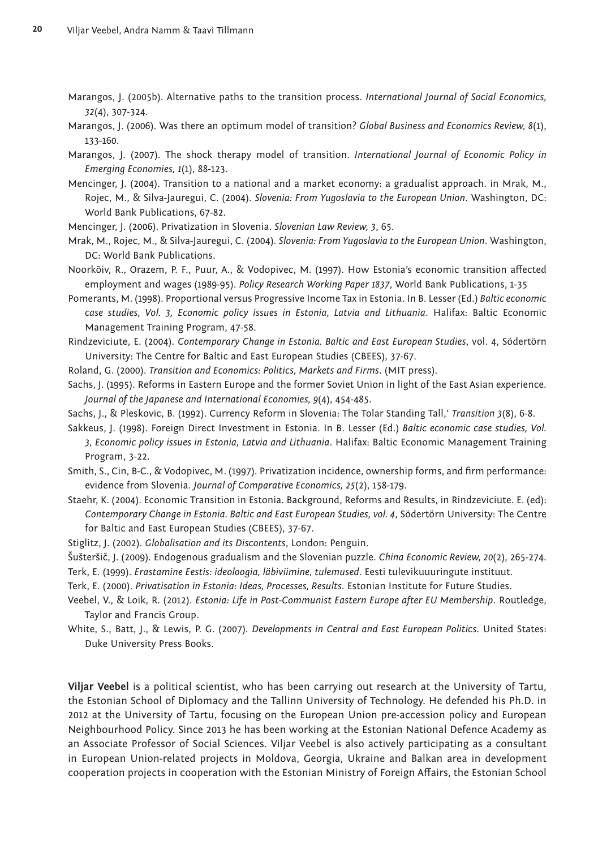- Marangos, J. (2005b). Alternative paths to the transition process. *International Journal of Social Economics, 32*(4), 307-324.
- Marangos, J. (2006). Was there an optimum model of transition? *Global Business and Economics Review, 8*(1), 133-160.
- Marangos, J. (2007). The shock therapy model of transition. *International Journal of Economic Policy in Emerging Economies, 1*(1), 88-123.
- Mencinger, J. (2004). Transition to a national and a market economy: a gradualist approach. in Mrak, M., Rojec, M., & Silva-Jauregui, C. (2004). *Slovenia: From Yugoslavia to the European Union*. Washington, DC: World Bank Publications, 67-82.
- Mencinger, J. (2006). Privatization in Slovenia. *Slovenian Law Review, 3*, 65.

Mrak, M., Rojec, M., & Silva-Jauregui, C. (2004). *Slovenia: From Yugoslavia to the European Union*. Washington, DC: World Bank Publications.

- Noorkõiv, R., Orazem, P. F., Puur, A., & Vodopivec, M. (1997). How Estonia's economic transition aff ected employment and wages (1989-95). *Policy Research Working Paper 1837*, World Bank Publications, 1-35
- Pomerants, M. (1998). Proportional versus Progressive Income Tax in Estonia. In B. Lesser (Ed.) *Baltic economic case studies, Vol. 3, Economic policy issues in Estonia, Latvia and Lithuania*. Halifax: Baltic Economic Management Training Program, 47-58.
- Rindzeviciute, E. (2004). *Contemporary Change in Estonia. Baltic and East European Studies*, vol. 4, Södertörn University: The Centre for Baltic and East European Studies (CBEES), 37-67.
- Roland, G. (2000). *Transition and Economics: Politics, Markets and Firms*. (MIT press).
- Sachs, J. (1995). Reforms in Eastern Europe and the former Soviet Union in light of the East Asian experience. *Journal of the Japanese and International Economies, 9*(4), 454-485.
- Sachs, J., & Pleskovic, B. (1992). Currency Reform in Slovenia: The Tolar Standing Tall,' *Transition 3*(8), 6-8.
- Sakkeus, J. (1998). Foreign Direct Investment in Estonia. In B. Lesser (Ed.) *Baltic economic case studies, Vol. 3, Economic policy issues in Estonia, Latvia and Lithuania*. Halifax: Baltic Economic Management Training Program, 3-22.
- Smith, S., Cin, B-C., & Vodopivec, M. (1997). Privatization incidence, ownership forms, and firm performance: evidence from Slovenia. *Journal of Comparative Economics, 25*(2), 158-179.
- Staehr, K. (2004). Economic Transition in Estonia. Background, Reforms and Results, in Rindzeviciute. E. (ed): *Contemporary Change in Estonia. Baltic and East European Studies, vol. 4*, Södertörn University: The Centre for Baltic and East European Studies (CBEES), 37-67.
- Stiglitz, J. (2002). *Globalisation and its Discontents*, London: Penguin.
- Šušteršič, J. (2009). Endogenous gradualism and the Slovenian puzzle. *China Economic Review, 20*(2), 265-274.
- Terk, E. (1999). *Erastamine Eestis: ideoloogia, läbiviimine, tulemused*. Eesti tulevikuuuringute instituut.
- Terk, E. (2000). *Privatisation in Estonia: Ideas, Processes, Results*. Estonian Institute for Future Studies.
- Veebel, V., & Loik, R. (2012). *Estonia: Life in Post-Communist Eastern Europe after EU Membership*. Routledge, Taylor and Francis Group.
- White, S., Batt, J., & Lewis, P. G. (2007). *Developments in Central and East European Politics*. United States: Duke University Press Books.

**Viljar Veebel** is a political scientist, who has been carrying out research at the University of Tartu, the Estonian School of Diplomacy and the Tallinn University of Technology. He defended his Ph.D. in 2012 at the University of Tartu, focusing on the European Union pre-accession policy and European Neighbourhood Policy. Since 2013 he has been working at the Estonian National Defence Academy as an Associate Professor of Social Sciences. Viljar Veebel is also actively participating as a consultant in European Union-related projects in Moldova, Georgia, Ukraine and Balkan area in development cooperation projects in cooperation with the Estonian Ministry of Foreign Affairs, the Estonian School